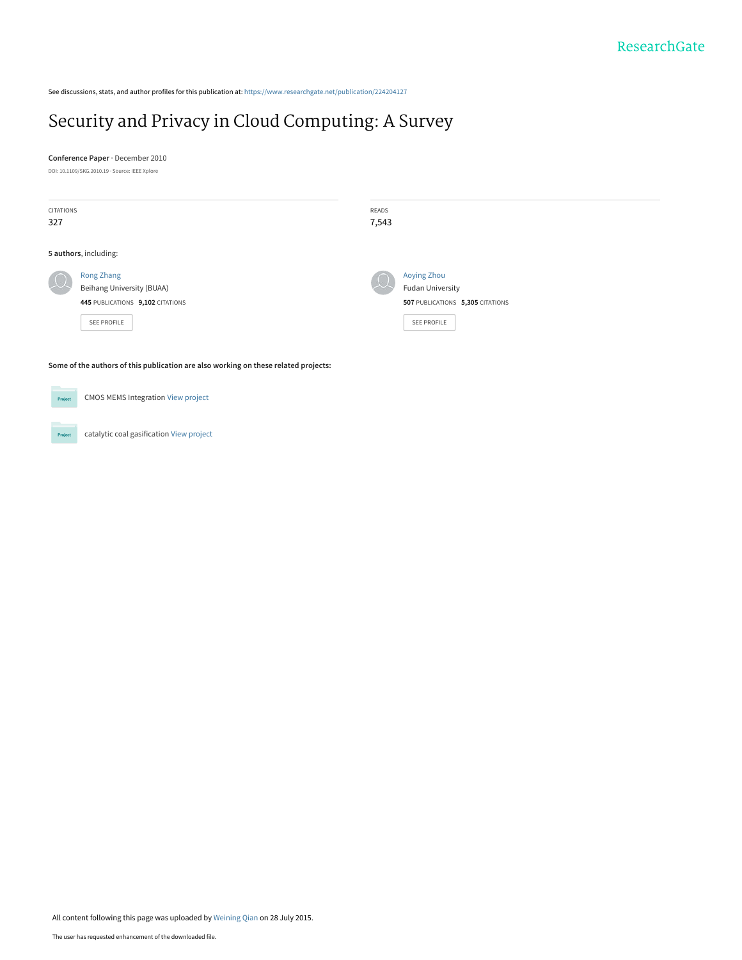See discussions, stats, and author profiles for this publication at: [https://www.researchgate.net/publication/224204127](https://www.researchgate.net/publication/224204127_Security_and_Privacy_in_Cloud_Computing_A_Survey?enrichId=rgreq-21cdfdb8bd38a36ef78deff7ea358dc3-XXX&enrichSource=Y292ZXJQYWdlOzIyNDIwNDEyNztBUzoyNTYwMzIxODYzMDI0NjVAMTQzODA1NDIzODUxOQ%3D%3D&el=1_x_2&_esc=publicationCoverPdf)

# [Security and Privacy in Cloud Computing: A Survey](https://www.researchgate.net/publication/224204127_Security_and_Privacy_in_Cloud_Computing_A_Survey?enrichId=rgreq-21cdfdb8bd38a36ef78deff7ea358dc3-XXX&enrichSource=Y292ZXJQYWdlOzIyNDIwNDEyNztBUzoyNTYwMzIxODYzMDI0NjVAMTQzODA1NDIzODUxOQ%3D%3D&el=1_x_3&_esc=publicationCoverPdf)

**Conference Paper** · December 2010

DOI: 10.1109/SKG.2010.19 · Source: IEEE Xplore

| CITATIONS<br>327      |                                                                                            | READS<br>7,543 |                                                                                                  |
|-----------------------|--------------------------------------------------------------------------------------------|----------------|--------------------------------------------------------------------------------------------------|
| 5 authors, including: |                                                                                            |                |                                                                                                  |
| $\tau$                | Rong Zhang<br>Beihang University (BUAA)<br>445 PUBLICATIONS 9,102 CITATIONS<br>SEE PROFILE |                | Aoying Zhou<br><b>Fudan University</b><br>507 PUBLICATIONS 5,305 CITATIONS<br><b>SEE PROFILE</b> |

**Some of the authors of this publication are also working on these related projects:**

**Project** 

Project

catalytic coal gasification [View project](https://www.researchgate.net/project/catalytic-coal-gasification?enrichId=rgreq-21cdfdb8bd38a36ef78deff7ea358dc3-XXX&enrichSource=Y292ZXJQYWdlOzIyNDIwNDEyNztBUzoyNTYwMzIxODYzMDI0NjVAMTQzODA1NDIzODUxOQ%3D%3D&el=1_x_9&_esc=publicationCoverPdf)

CMOS MEMS Integration [View project](https://www.researchgate.net/project/CMOS-MEMS-Integration?enrichId=rgreq-21cdfdb8bd38a36ef78deff7ea358dc3-XXX&enrichSource=Y292ZXJQYWdlOzIyNDIwNDEyNztBUzoyNTYwMzIxODYzMDI0NjVAMTQzODA1NDIzODUxOQ%3D%3D&el=1_x_9&_esc=publicationCoverPdf)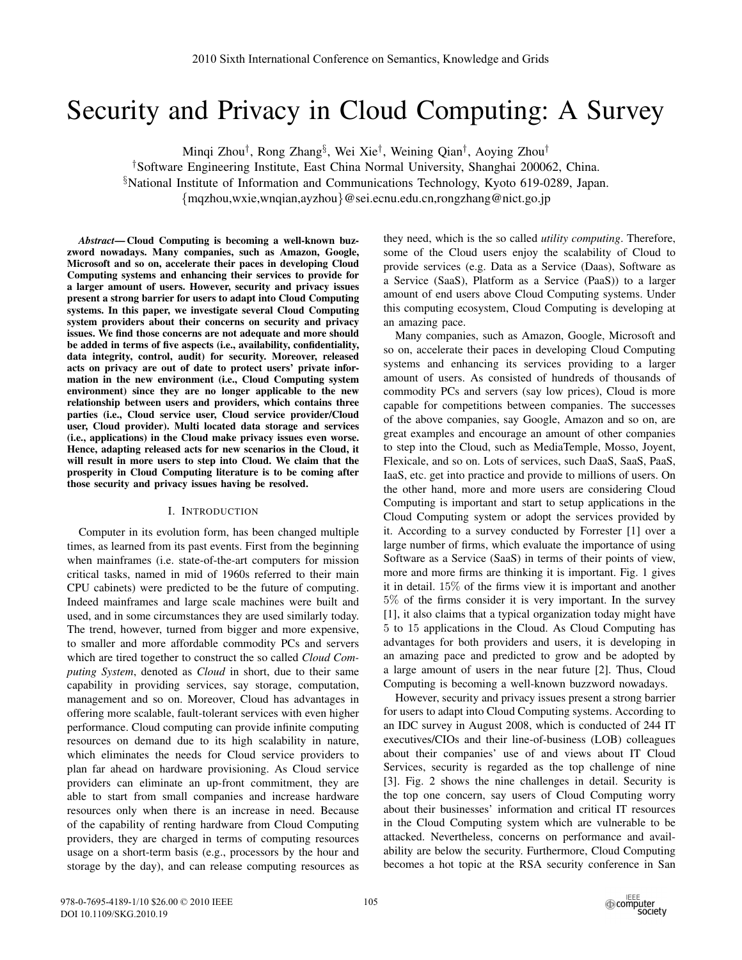# Security and Privacy in Cloud Computing: A Survey

Minqi Zhou*†* , Rong Zhang*§* , Wei Xie*†* , Weining Qian*†* , Aoying Zhou*†*

*†*Software Engineering Institute, East China Normal University, Shanghai 200062, China.

*§*National Institute of Information and Communications Technology, Kyoto 619-0289, Japan.

*{*mqzhou,wxie,wnqian,ayzhou*}*@sei.ecnu.edu.cn,rongzhang@nict.go.jp

*Abstract*— Cloud Computing is becoming a well-known buzzword nowadays. Many companies, such as Amazon, Google, Microsoft and so on, accelerate their paces in developing Cloud Computing systems and enhancing their services to provide for a larger amount of users. However, security and privacy issues present a strong barrier for users to adapt into Cloud Computing systems. In this paper, we investigate several Cloud Computing system providers about their concerns on security and privacy issues. We find those concerns are not adequate and more should be added in terms of five aspects (i.e., availability, confidentiality, data integrity, control, audit) for security. Moreover, released acts on privacy are out of date to protect users' private information in the new environment (i.e., Cloud Computing system environment) since they are no longer applicable to the new relationship between users and providers, which contains three parties (i.e., Cloud service user, Cloud service provider/Cloud user, Cloud provider). Multi located data storage and services (i.e., applications) in the Cloud make privacy issues even worse. Hence, adapting released acts for new scenarios in the Cloud, it will result in more users to step into Cloud. We claim that the prosperity in Cloud Computing literature is to be coming after those security and privacy issues having be resolved.

#### I. INTRODUCTION

Computer in its evolution form, has been changed multiple times, as learned from its past events. First from the beginning when mainframes (i.e. state-of-the-art computers for mission critical tasks, named in mid of 1960s referred to their main CPU cabinets) were predicted to be the future of computing. Indeed mainframes and large scale machines were built and used, and in some circumstances they are used similarly today. The trend, however, turned from bigger and more expensive, to smaller and more affordable commodity PCs and servers which are tired together to construct the so called *Cloud Computing System*, denoted as *Cloud* in short, due to their same capability in providing services, say storage, computation, management and so on. Moreover, Cloud has advantages in offering more scalable, fault-tolerant services with even higher performance. Cloud computing can provide infinite computing resources on demand due to its high scalability in nature, which eliminates the needs for Cloud service providers to plan far ahead on hardware provisioning. As Cloud service providers can eliminate an up-front commitment, they are able to start from small companies and increase hardware resources only when there is an increase in need. Because of the capability of renting hardware from Cloud Computing providers, they are charged in terms of computing resources usage on a short-term basis (e.g., processors by the hour and storage by the day), and can release computing resources as they need, which is the so called *utility computing*. Therefore, some of the Cloud users enjoy the scalability of Cloud to provide services (e.g. Data as a Service (Daas), Software as a Service (SaaS), Platform as a Service (PaaS)) to a larger amount of end users above Cloud Computing systems. Under this computing ecosystem, Cloud Computing is developing at an amazing pace.

Many companies, such as Amazon, Google, Microsoft and so on, accelerate their paces in developing Cloud Computing systems and enhancing its services providing to a larger amount of users. As consisted of hundreds of thousands of commodity PCs and servers (say low prices), Cloud is more capable for competitions between companies. The successes of the above companies, say Google, Amazon and so on, are great examples and encourage an amount of other companies to step into the Cloud, such as MediaTemple, Mosso, Joyent, Flexicale, and so on. Lots of services, such DaaS, SaaS, PaaS, IaaS, etc. get into practice and provide to millions of users. On the other hand, more and more users are considering Cloud Computing is important and start to setup applications in the Cloud Computing system or adopt the services provided by it. According to a survey conducted by Forrester [1] over a large number of firms, which evaluate the importance of using Software as a Service (SaaS) in terms of their points of view, more and more firms are thinking it is important. Fig. 1 gives it in detail. 15% of the firms view it is important and another 5% of the firms consider it is very important. In the survey [1], it also claims that a typical organization today might have 5 to 15 applications in the Cloud. As Cloud Computing has advantages for both providers and users, it is developing in an amazing pace and predicted to grow and be adopted by a large amount of users in the near future [2]. Thus, Cloud Computing is becoming a well-known buzzword nowadays.

However, security and privacy issues present a strong barrier for users to adapt into Cloud Computing systems. According to an IDC survey in August 2008, which is conducted of 244 IT executives/CIOs and their line-of-business (LOB) colleagues about their companies' use of and views about IT Cloud Services, security is regarded as the top challenge of nine [3]. Fig. 2 shows the nine challenges in detail. Security is the top one concern, say users of Cloud Computing worry about their businesses' information and critical IT resources in the Cloud Computing system which are vulnerable to be attacked. Nevertheless, concerns on performance and availability are below the security. Furthermore, Cloud Computing becomes a hot topic at the RSA security conference in San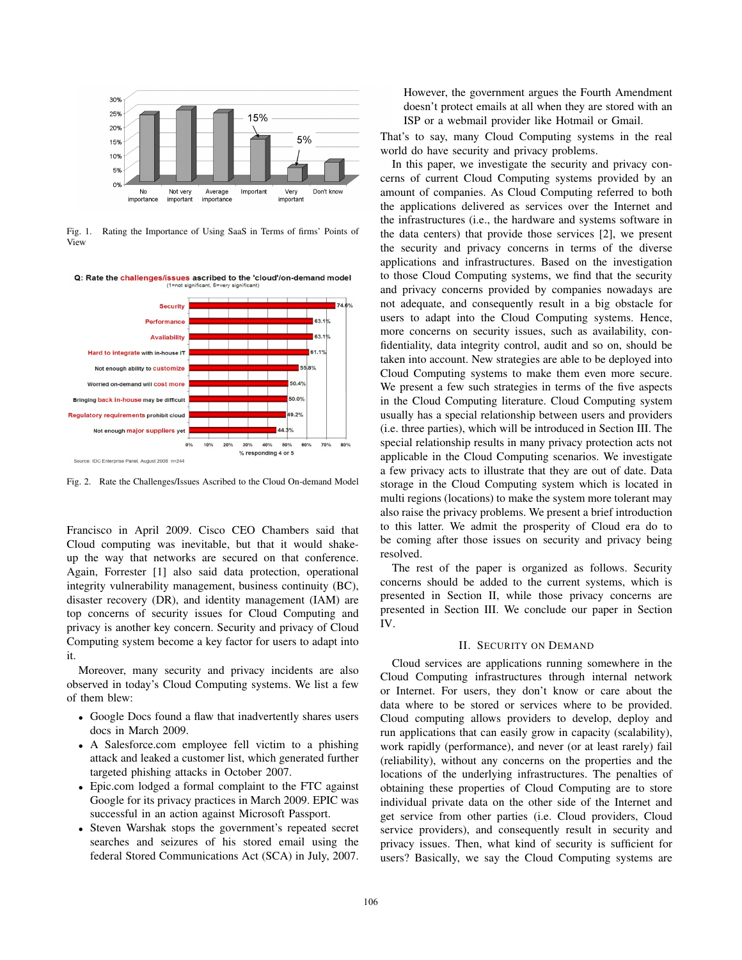

Fig. 1. Rating the Importance of Using SaaS in Terms of firms' Points of View

Q: Rate the challenges/issues ascribed to the 'cloud'/on-demand model



Fig. 2. Rate the Challenges/Issues Ascribed to the Cloud On-demand Model

Francisco in April 2009. Cisco CEO Chambers said that Cloud computing was inevitable, but that it would shakeup the way that networks are secured on that conference. Again, Forrester [1] also said data protection, operational integrity vulnerability management, business continuity (BC), disaster recovery (DR), and identity management (IAM) are top concerns of security issues for Cloud Computing and privacy is another key concern. Security and privacy of Cloud Computing system become a key factor for users to adapt into it.

Moreover, many security and privacy incidents are also observed in today's Cloud Computing systems. We list a few of them blew:

- *<sup>∙</sup>* Google Docs found a flaw that inadvertently shares users docs in March 2009.
- *<sup>∙</sup>* A Salesforce.com employee fell victim to a phishing attack and leaked a customer list, which generated further targeted phishing attacks in October 2007.
- *<sup>∙</sup>* Epic.com lodged a formal complaint to the FTC against Google for its privacy practices in March 2009. EPIC was successful in an action against Microsoft Passport.
- *<sup>∙</sup>* Steven Warshak stops the government's repeated secret searches and seizures of his stored email using the federal Stored Communications Act (SCA) in July, 2007.

However, the government argues the Fourth Amendment doesn't protect emails at all when they are stored with an ISP or a webmail provider like Hotmail or Gmail.

That's to say, many Cloud Computing systems in the real world do have security and privacy problems.

In this paper, we investigate the security and privacy concerns of current Cloud Computing systems provided by an amount of companies. As Cloud Computing referred to both the applications delivered as services over the Internet and the infrastructures (i.e., the hardware and systems software in the data centers) that provide those services [2], we present the security and privacy concerns in terms of the diverse applications and infrastructures. Based on the investigation to those Cloud Computing systems, we find that the security and privacy concerns provided by companies nowadays are not adequate, and consequently result in a big obstacle for users to adapt into the Cloud Computing systems. Hence, more concerns on security issues, such as availability, confidentiality, data integrity control, audit and so on, should be taken into account. New strategies are able to be deployed into Cloud Computing systems to make them even more secure. We present a few such strategies in terms of the five aspects in the Cloud Computing literature. Cloud Computing system usually has a special relationship between users and providers (i.e. three parties), which will be introduced in Section III. The special relationship results in many privacy protection acts not applicable in the Cloud Computing scenarios. We investigate a few privacy acts to illustrate that they are out of date. Data storage in the Cloud Computing system which is located in multi regions (locations) to make the system more tolerant may also raise the privacy problems. We present a brief introduction to this latter. We admit the prosperity of Cloud era do to be coming after those issues on security and privacy being resolved.

The rest of the paper is organized as follows. Security concerns should be added to the current systems, which is presented in Section II, while those privacy concerns are presented in Section III. We conclude our paper in Section IV.

#### II. SECURITY ON DEMAND

Cloud services are applications running somewhere in the Cloud Computing infrastructures through internal network or Internet. For users, they don't know or care about the data where to be stored or services where to be provided. Cloud computing allows providers to develop, deploy and run applications that can easily grow in capacity (scalability), work rapidly (performance), and never (or at least rarely) fail (reliability), without any concerns on the properties and the locations of the underlying infrastructures. The penalties of obtaining these properties of Cloud Computing are to store individual private data on the other side of the Internet and get service from other parties (i.e. Cloud providers, Cloud service providers), and consequently result in security and privacy issues. Then, what kind of security is sufficient for users? Basically, we say the Cloud Computing systems are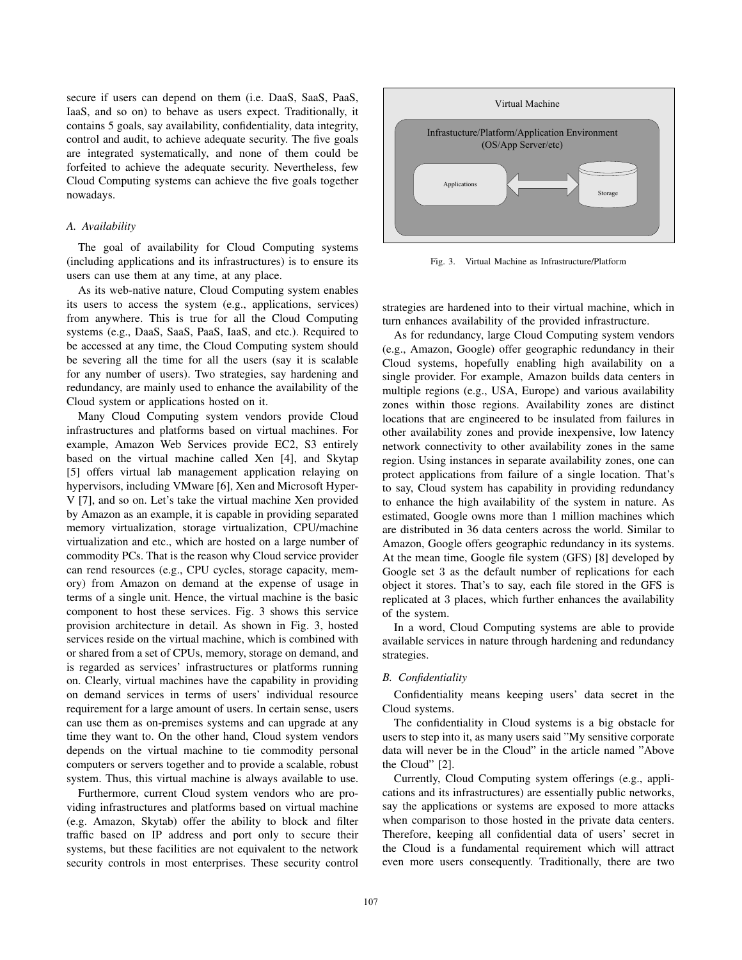secure if users can depend on them (i.e. DaaS, SaaS, PaaS, IaaS, and so on) to behave as users expect. Traditionally, it contains 5 goals, say availability, confidentiality, data integrity, control and audit, to achieve adequate security. The five goals are integrated systematically, and none of them could be forfeited to achieve the adequate security. Nevertheless, few Cloud Computing systems can achieve the five goals together nowadays.

# *A. Availability*

The goal of availability for Cloud Computing systems (including applications and its infrastructures) is to ensure its users can use them at any time, at any place.

As its web-native nature, Cloud Computing system enables its users to access the system (e.g., applications, services) from anywhere. This is true for all the Cloud Computing systems (e.g., DaaS, SaaS, PaaS, IaaS, and etc.). Required to be accessed at any time, the Cloud Computing system should be severing all the time for all the users (say it is scalable for any number of users). Two strategies, say hardening and redundancy, are mainly used to enhance the availability of the Cloud system or applications hosted on it.

Many Cloud Computing system vendors provide Cloud infrastructures and platforms based on virtual machines. For example, Amazon Web Services provide EC2, S3 entirely based on the virtual machine called Xen [4], and Skytap [5] offers virtual lab management application relaying on hypervisors, including VMware [6], Xen and Microsoft Hyper-V [7], and so on. Let's take the virtual machine Xen provided by Amazon as an example, it is capable in providing separated memory virtualization, storage virtualization, CPU/machine virtualization and etc., which are hosted on a large number of commodity PCs. That is the reason why Cloud service provider can rend resources (e.g., CPU cycles, storage capacity, memory) from Amazon on demand at the expense of usage in terms of a single unit. Hence, the virtual machine is the basic component to host these services. Fig. 3 shows this service provision architecture in detail. As shown in Fig. 3, hosted services reside on the virtual machine, which is combined with or shared from a set of CPUs, memory, storage on demand, and is regarded as services' infrastructures or platforms running on. Clearly, virtual machines have the capability in providing on demand services in terms of users' individual resource requirement for a large amount of users. In certain sense, users can use them as on-premises systems and can upgrade at any time they want to. On the other hand, Cloud system vendors depends on the virtual machine to tie commodity personal computers or servers together and to provide a scalable, robust system. Thus, this virtual machine is always available to use.

Furthermore, current Cloud system vendors who are providing infrastructures and platforms based on virtual machine (e.g. Amazon, Skytab) offer the ability to block and filter traffic based on IP address and port only to secure their systems, but these facilities are not equivalent to the network security controls in most enterprises. These security control



Fig. 3. Virtual Machine as Infrastructure/Platform

strategies are hardened into to their virtual machine, which in turn enhances availability of the provided infrastructure.

As for redundancy, large Cloud Computing system vendors (e.g., Amazon, Google) offer geographic redundancy in their Cloud systems, hopefully enabling high availability on a single provider. For example, Amazon builds data centers in multiple regions (e.g., USA, Europe) and various availability zones within those regions. Availability zones are distinct locations that are engineered to be insulated from failures in other availability zones and provide inexpensive, low latency network connectivity to other availability zones in the same region. Using instances in separate availability zones, one can protect applications from failure of a single location. That's to say, Cloud system has capability in providing redundancy to enhance the high availability of the system in nature. As estimated, Google owns more than 1 million machines which are distributed in 36 data centers across the world. Similar to Amazon, Google offers geographic redundancy in its systems. At the mean time, Google file system (GFS) [8] developed by Google set 3 as the default number of replications for each object it stores. That's to say, each file stored in the GFS is replicated at 3 places, which further enhances the availability of the system.

In a word, Cloud Computing systems are able to provide available services in nature through hardening and redundancy strategies.

#### *B. Confidentiality*

Confidentiality means keeping users' data secret in the Cloud systems.

The confidentiality in Cloud systems is a big obstacle for users to step into it, as many users said "My sensitive corporate data will never be in the Cloud" in the article named "Above the Cloud" [2].

Currently, Cloud Computing system offerings (e.g., applications and its infrastructures) are essentially public networks, say the applications or systems are exposed to more attacks when comparison to those hosted in the private data centers. Therefore, keeping all confidential data of users' secret in the Cloud is a fundamental requirement which will attract even more users consequently. Traditionally, there are two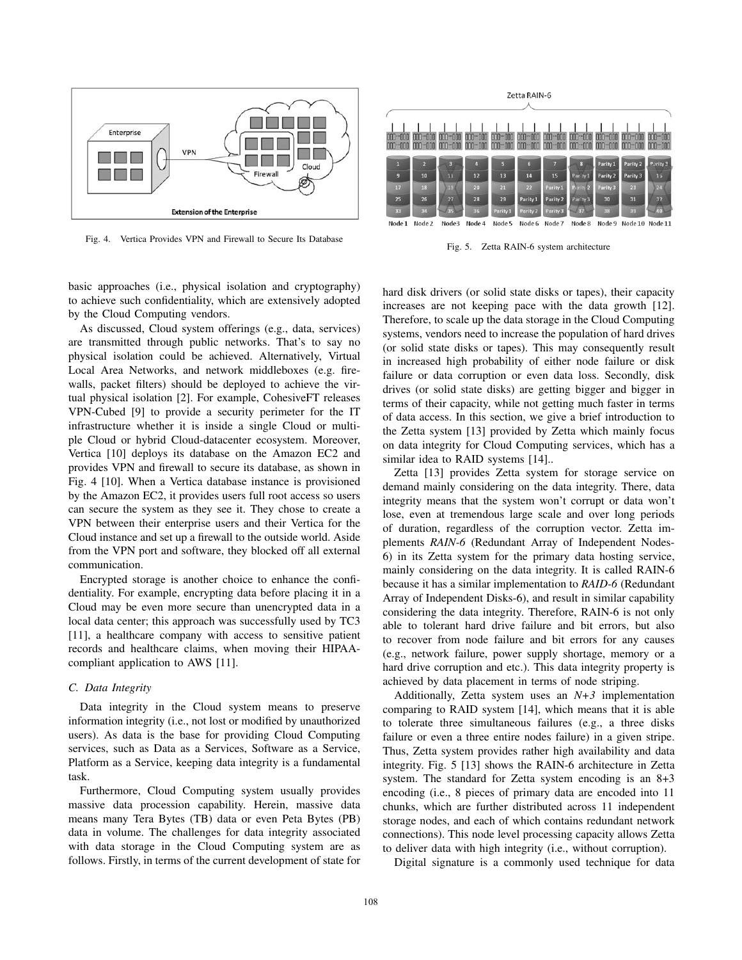

Fig. 4. Vertica Provides VPN and Firewall to Secure Its Database

basic approaches (i.e., physical isolation and cryptography) to achieve such confidentiality, which are extensively adopted by the Cloud Computing vendors.

As discussed, Cloud system offerings (e.g., data, services) are transmitted through public networks. That's to say no physical isolation could be achieved. Alternatively, Virtual Local Area Networks, and network middleboxes (e.g. firewalls, packet filters) should be deployed to achieve the virtual physical isolation [2]. For example, CohesiveFT releases VPN-Cubed [9] to provide a security perimeter for the IT infrastructure whether it is inside a single Cloud or multiple Cloud or hybrid Cloud-datacenter ecosystem. Moreover, Vertica [10] deploys its database on the Amazon EC2 and provides VPN and firewall to secure its database, as shown in Fig. 4 [10]. When a Vertica database instance is provisioned by the Amazon EC2, it provides users full root access so users can secure the system as they see it. They chose to create a VPN between their enterprise users and their Vertica for the Cloud instance and set up a firewall to the outside world. Aside from the VPN port and software, they blocked off all external communication.

Encrypted storage is another choice to enhance the confidentiality. For example, encrypting data before placing it in a Cloud may be even more secure than unencrypted data in a local data center; this approach was successfully used by TC3 [11], a healthcare company with access to sensitive patient records and healthcare claims, when moving their HIPAAcompliant application to AWS [11].

# *C. Data Integrity*

Data integrity in the Cloud system means to preserve information integrity (i.e., not lost or modified by unauthorized users). As data is the base for providing Cloud Computing services, such as Data as a Services, Software as a Service, Platform as a Service, keeping data integrity is a fundamental task.

Furthermore, Cloud Computing system usually provides massive data procession capability. Herein, massive data means many Tera Bytes (TB) data or even Peta Bytes (PB) data in volume. The challenges for data integrity associated with data storage in the Cloud Computing system are as follows. Firstly, in terms of the current development of state for



Fig. 5. Zetta RAIN-6 system architecture

hard disk drivers (or solid state disks or tapes), their capacity increases are not keeping pace with the data growth [12]. Therefore, to scale up the data storage in the Cloud Computing systems, vendors need to increase the population of hard drives (or solid state disks or tapes). This may consequently result in increased high probability of either node failure or disk failure or data corruption or even data loss. Secondly, disk drives (or solid state disks) are getting bigger and bigger in terms of their capacity, while not getting much faster in terms of data access. In this section, we give a brief introduction to the Zetta system [13] provided by Zetta which mainly focus on data integrity for Cloud Computing services, which has a similar idea to RAID systems [14]..

Zetta [13] provides Zetta system for storage service on demand mainly considering on the data integrity. There, data integrity means that the system won't corrupt or data won't lose, even at tremendous large scale and over long periods of duration, regardless of the corruption vector. Zetta implements *RAIN-6* (Redundant Array of Independent Nodes-6) in its Zetta system for the primary data hosting service, mainly considering on the data integrity. It is called RAIN-6 because it has a similar implementation to *RAID-6* (Redundant Array of Independent Disks-6), and result in similar capability considering the data integrity. Therefore, RAIN-6 is not only able to tolerant hard drive failure and bit errors, but also to recover from node failure and bit errors for any causes (e.g., network failure, power supply shortage, memory or a hard drive corruption and etc.). This data integrity property is achieved by data placement in terms of node striping.

Additionally, Zetta system uses an *N+3* implementation comparing to RAID system [14], which means that it is able to tolerate three simultaneous failures (e.g., a three disks failure or even a three entire nodes failure) in a given stripe. Thus, Zetta system provides rather high availability and data integrity. Fig. 5 [13] shows the RAIN-6 architecture in Zetta system. The standard for Zetta system encoding is an 8+3 encoding (i.e., 8 pieces of primary data are encoded into 11 chunks, which are further distributed across 11 independent storage nodes, and each of which contains redundant network connections). This node level processing capacity allows Zetta to deliver data with high integrity (i.e., without corruption).

Digital signature is a commonly used technique for data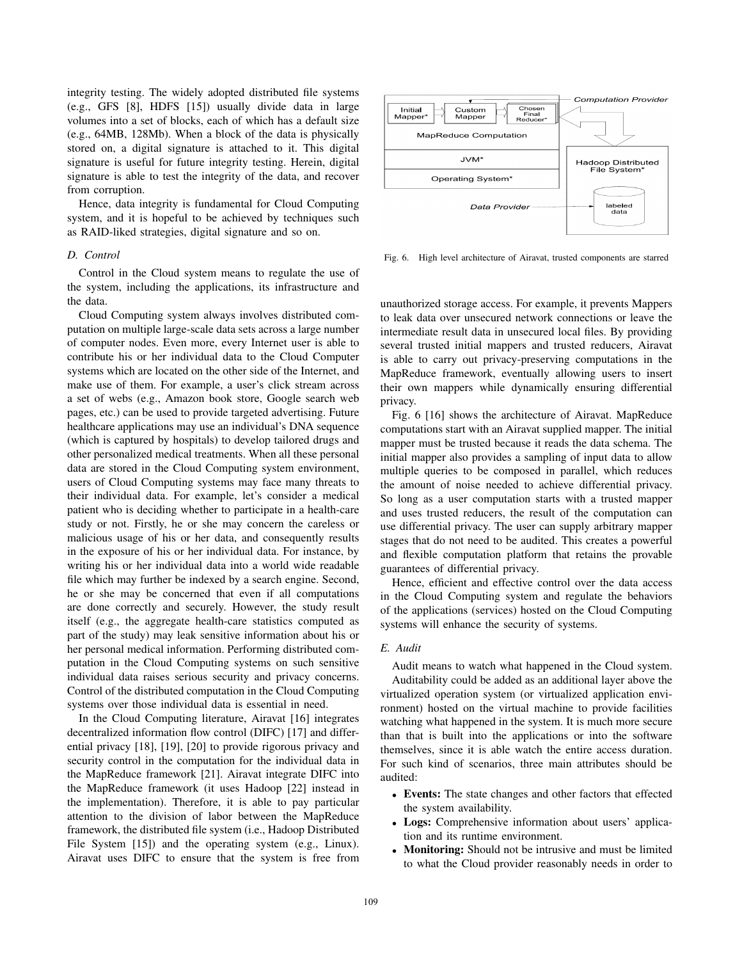integrity testing. The widely adopted distributed file systems (e.g., GFS [8], HDFS [15]) usually divide data in large volumes into a set of blocks, each of which has a default size (e.g., 64MB, 128Mb). When a block of the data is physically stored on, a digital signature is attached to it. This digital signature is useful for future integrity testing. Herein, digital signature is able to test the integrity of the data, and recover from corruption.

Hence, data integrity is fundamental for Cloud Computing system, and it is hopeful to be achieved by techniques such as RAID-liked strategies, digital signature and so on.

#### *D. Control*

Control in the Cloud system means to regulate the use of the system, including the applications, its infrastructure and the data.

Cloud Computing system always involves distributed computation on multiple large-scale data sets across a large number of computer nodes. Even more, every Internet user is able to contribute his or her individual data to the Cloud Computer systems which are located on the other side of the Internet, and make use of them. For example, a user's click stream across a set of webs (e.g., Amazon book store, Google search web pages, etc.) can be used to provide targeted advertising. Future healthcare applications may use an individual's DNA sequence (which is captured by hospitals) to develop tailored drugs and other personalized medical treatments. When all these personal data are stored in the Cloud Computing system environment, users of Cloud Computing systems may face many threats to their individual data. For example, let's consider a medical patient who is deciding whether to participate in a health-care study or not. Firstly, he or she may concern the careless or malicious usage of his or her data, and consequently results in the exposure of his or her individual data. For instance, by writing his or her individual data into a world wide readable file which may further be indexed by a search engine. Second, he or she may be concerned that even if all computations are done correctly and securely. However, the study result itself (e.g., the aggregate health-care statistics computed as part of the study) may leak sensitive information about his or her personal medical information. Performing distributed computation in the Cloud Computing systems on such sensitive individual data raises serious security and privacy concerns. Control of the distributed computation in the Cloud Computing systems over those individual data is essential in need.

In the Cloud Computing literature, Airavat [16] integrates decentralized information flow control (DIFC) [17] and differential privacy [18], [19], [20] to provide rigorous privacy and security control in the computation for the individual data in the MapReduce framework [21]. Airavat integrate DIFC into the MapReduce framework (it uses Hadoop [22] instead in the implementation). Therefore, it is able to pay particular attention to the division of labor between the MapReduce framework, the distributed file system (i.e., Hadoop Distributed File System [15]) and the operating system (e.g., Linux). Airavat uses DIFC to ensure that the system is free from



Fig. 6. High level architecture of Airavat, trusted components are starred

unauthorized storage access. For example, it prevents Mappers to leak data over unsecured network connections or leave the intermediate result data in unsecured local files. By providing several trusted initial mappers and trusted reducers, Airavat is able to carry out privacy-preserving computations in the MapReduce framework, eventually allowing users to insert their own mappers while dynamically ensuring differential privacy.

Fig. 6 [16] shows the architecture of Airavat. MapReduce computations start with an Airavat supplied mapper. The initial mapper must be trusted because it reads the data schema. The initial mapper also provides a sampling of input data to allow multiple queries to be composed in parallel, which reduces the amount of noise needed to achieve differential privacy. So long as a user computation starts with a trusted mapper and uses trusted reducers, the result of the computation can use differential privacy. The user can supply arbitrary mapper stages that do not need to be audited. This creates a powerful and flexible computation platform that retains the provable guarantees of differential privacy.

Hence, efficient and effective control over the data access in the Cloud Computing system and regulate the behaviors of the applications (services) hosted on the Cloud Computing systems will enhance the security of systems.

### *E. Audit*

Audit means to watch what happened in the Cloud system. Auditability could be added as an additional layer above the virtualized operation system (or virtualized application environment) hosted on the virtual machine to provide facilities watching what happened in the system. It is much more secure than that is built into the applications or into the software themselves, since it is able watch the entire access duration. For such kind of scenarios, three main attributes should be audited:

- *<sup>∙</sup>* Events: The state changes and other factors that effected the system availability.
- *<sup>∙</sup>* Logs: Comprehensive information about users' application and its runtime environment.
- *<sup>∙</sup>* Monitoring: Should not be intrusive and must be limited to what the Cloud provider reasonably needs in order to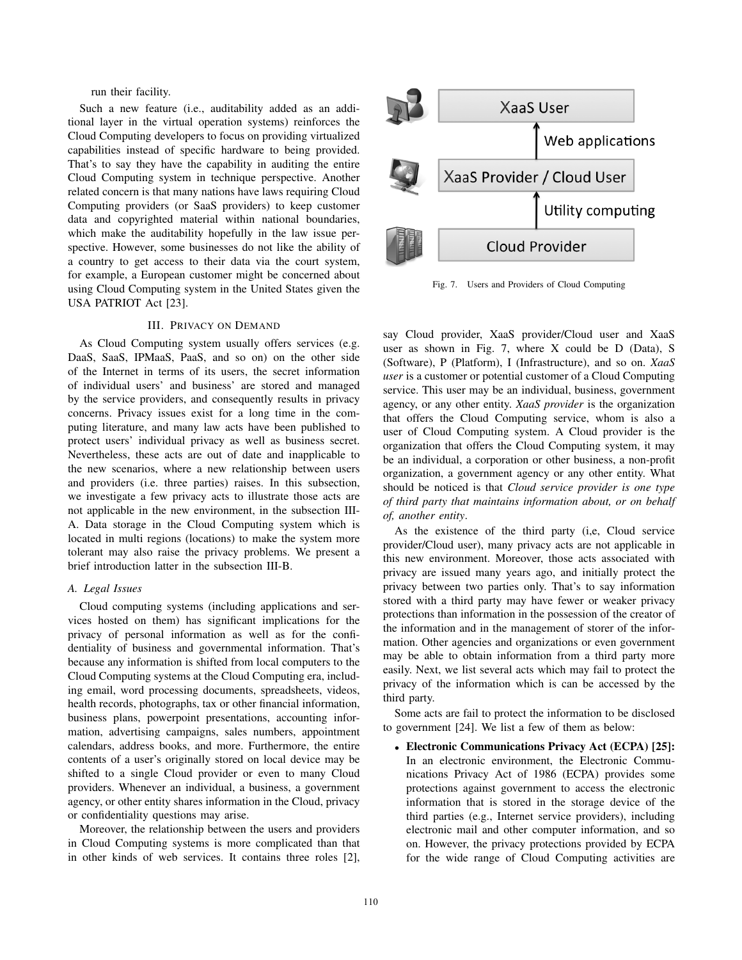run their facility.

Such a new feature (i.e., auditability added as an additional layer in the virtual operation systems) reinforces the Cloud Computing developers to focus on providing virtualized capabilities instead of specific hardware to being provided. That's to say they have the capability in auditing the entire Cloud Computing system in technique perspective. Another related concern is that many nations have laws requiring Cloud Computing providers (or SaaS providers) to keep customer data and copyrighted material within national boundaries, which make the auditability hopefully in the law issue perspective. However, some businesses do not like the ability of a country to get access to their data via the court system, for example, a European customer might be concerned about using Cloud Computing system in the United States given the USA PATRIOT Act [23].

# III. PRIVACY ON DEMAND

As Cloud Computing system usually offers services (e.g. DaaS, SaaS, IPMaaS, PaaS, and so on) on the other side of the Internet in terms of its users, the secret information of individual users' and business' are stored and managed by the service providers, and consequently results in privacy concerns. Privacy issues exist for a long time in the computing literature, and many law acts have been published to protect users' individual privacy as well as business secret. Nevertheless, these acts are out of date and inapplicable to the new scenarios, where a new relationship between users and providers (i.e. three parties) raises. In this subsection, we investigate a few privacy acts to illustrate those acts are not applicable in the new environment, in the subsection III-A. Data storage in the Cloud Computing system which is located in multi regions (locations) to make the system more tolerant may also raise the privacy problems. We present a brief introduction latter in the subsection III-B.

#### *A. Legal Issues*

Cloud computing systems (including applications and services hosted on them) has significant implications for the privacy of personal information as well as for the confidentiality of business and governmental information. That's because any information is shifted from local computers to the Cloud Computing systems at the Cloud Computing era, including email, word processing documents, spreadsheets, videos, health records, photographs, tax or other financial information, business plans, powerpoint presentations, accounting information, advertising campaigns, sales numbers, appointment calendars, address books, and more. Furthermore, the entire contents of a user's originally stored on local device may be shifted to a single Cloud provider or even to many Cloud providers. Whenever an individual, a business, a government agency, or other entity shares information in the Cloud, privacy or confidentiality questions may arise.

Moreover, the relationship between the users and providers in Cloud Computing systems is more complicated than that in other kinds of web services. It contains three roles [2],



Fig. 7. Users and Providers of Cloud Computing

say Cloud provider, XaaS provider/Cloud user and XaaS user as shown in Fig. 7, where X could be D (Data), S (Software), P (Platform), I (Infrastructure), and so on. *XaaS user* is a customer or potential customer of a Cloud Computing service. This user may be an individual, business, government agency, or any other entity. *XaaS provider* is the organization that offers the Cloud Computing service, whom is also a user of Cloud Computing system. A Cloud provider is the organization that offers the Cloud Computing system, it may be an individual, a corporation or other business, a non-profit organization, a government agency or any other entity. What should be noticed is that *Cloud service provider is one type of third party that maintains information about, or on behalf of, another entity*.

As the existence of the third party (i,e, Cloud service provider/Cloud user), many privacy acts are not applicable in this new environment. Moreover, those acts associated with privacy are issued many years ago, and initially protect the privacy between two parties only. That's to say information stored with a third party may have fewer or weaker privacy protections than information in the possession of the creator of the information and in the management of storer of the information. Other agencies and organizations or even government may be able to obtain information from a third party more easily. Next, we list several acts which may fail to protect the privacy of the information which is can be accessed by the third party.

Some acts are fail to protect the information to be disclosed to government [24]. We list a few of them as below:

*<sup>∙</sup>* Electronic Communications Privacy Act (ECPA) [25]: In an electronic environment, the Electronic Communications Privacy Act of 1986 (ECPA) provides some protections against government to access the electronic information that is stored in the storage device of the third parties (e.g., Internet service providers), including electronic mail and other computer information, and so on. However, the privacy protections provided by ECPA for the wide range of Cloud Computing activities are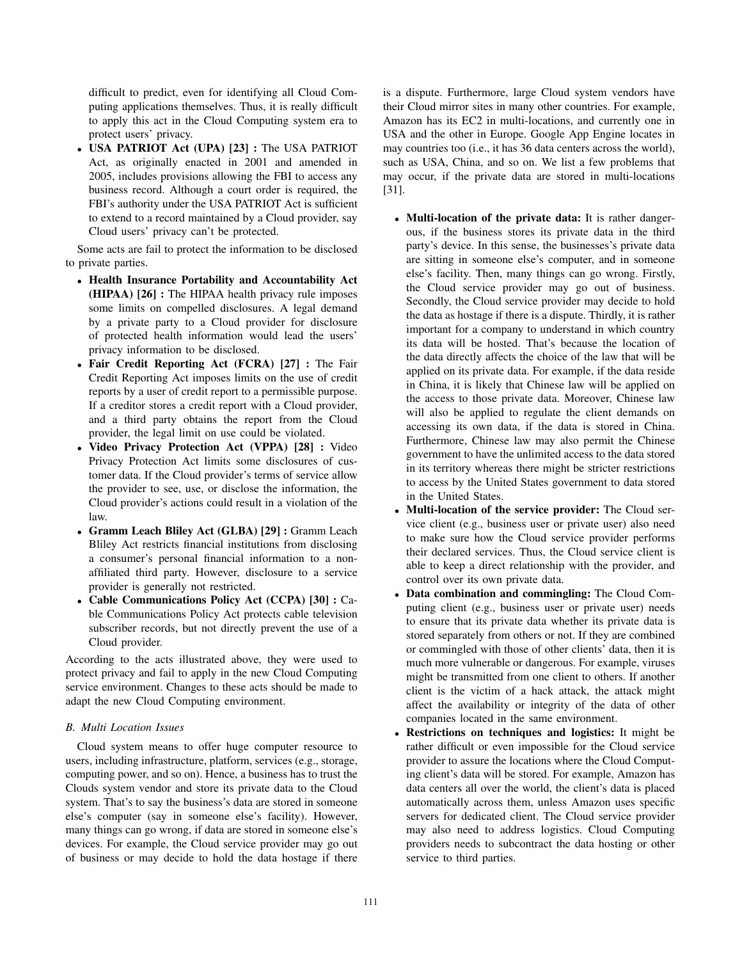difficult to predict, even for identifying all Cloud Computing applications themselves. Thus, it is really difficult to apply this act in the Cloud Computing system era to protect users' privacy.

*<sup>∙</sup>* USA PATRIOT Act (UPA) [23] : The USA PATRIOT Act, as originally enacted in 2001 and amended in 2005, includes provisions allowing the FBI to access any business record. Although a court order is required, the FBI's authority under the USA PATRIOT Act is sufficient to extend to a record maintained by a Cloud provider, say Cloud users' privacy can't be protected.

Some acts are fail to protect the information to be disclosed to private parties.

- *<sup>∙</sup>* Health Insurance Portability and Accountability Act (HIPAA) [26] : The HIPAA health privacy rule imposes some limits on compelled disclosures. A legal demand by a private party to a Cloud provider for disclosure of protected health information would lead the users' privacy information to be disclosed.
- *<sup>∙</sup>* Fair Credit Reporting Act (FCRA) [27] : The Fair Credit Reporting Act imposes limits on the use of credit reports by a user of credit report to a permissible purpose. If a creditor stores a credit report with a Cloud provider, and a third party obtains the report from the Cloud provider, the legal limit on use could be violated.
- *<sup>∙</sup>* Video Privacy Protection Act (VPPA) [28] : Video Privacy Protection Act limits some disclosures of customer data. If the Cloud provider's terms of service allow the provider to see, use, or disclose the information, the Cloud provider's actions could result in a violation of the law.
- *<sup>∙</sup>* Gramm Leach Bliley Act (GLBA) [29] : Gramm Leach Bliley Act restricts financial institutions from disclosing a consumer's personal financial information to a nonaffiliated third party. However, disclosure to a service provider is generally not restricted.
- *<sup>∙</sup>* Cable Communications Policy Act (CCPA) [30] : Cable Communications Policy Act protects cable television subscriber records, but not directly prevent the use of a Cloud provider.

According to the acts illustrated above, they were used to protect privacy and fail to apply in the new Cloud Computing service environment. Changes to these acts should be made to adapt the new Cloud Computing environment.

# *B. Multi Location Issues*

Cloud system means to offer huge computer resource to users, including infrastructure, platform, services (e.g., storage, computing power, and so on). Hence, a business has to trust the Clouds system vendor and store its private data to the Cloud system. That's to say the business's data are stored in someone else's computer (say in someone else's facility). However, many things can go wrong, if data are stored in someone else's devices. For example, the Cloud service provider may go out of business or may decide to hold the data hostage if there is a dispute. Furthermore, large Cloud system vendors have their Cloud mirror sites in many other countries. For example, Amazon has its EC2 in multi-locations, and currently one in USA and the other in Europe. Google App Engine locates in may countries too (i.e., it has 36 data centers across the world), such as USA, China, and so on. We list a few problems that may occur, if the private data are stored in multi-locations [31].

- *<sup>∙</sup>* Multi-location of the private data: It is rather dangerous, if the business stores its private data in the third party's device. In this sense, the businesses's private data are sitting in someone else's computer, and in someone else's facility. Then, many things can go wrong. Firstly, the Cloud service provider may go out of business. Secondly, the Cloud service provider may decide to hold the data as hostage if there is a dispute. Thirdly, it is rather important for a company to understand in which country its data will be hosted. That's because the location of the data directly affects the choice of the law that will be applied on its private data. For example, if the data reside in China, it is likely that Chinese law will be applied on the access to those private data. Moreover, Chinese law will also be applied to regulate the client demands on accessing its own data, if the data is stored in China. Furthermore, Chinese law may also permit the Chinese government to have the unlimited access to the data stored in its territory whereas there might be stricter restrictions to access by the United States government to data stored in the United States.
- *<sup>∙</sup>* Multi-location of the service provider: The Cloud service client (e.g., business user or private user) also need to make sure how the Cloud service provider performs their declared services. Thus, the Cloud service client is able to keep a direct relationship with the provider, and control over its own private data.
- *<sup>∙</sup>* Data combination and commingling: The Cloud Computing client (e.g., business user or private user) needs to ensure that its private data whether its private data is stored separately from others or not. If they are combined or commingled with those of other clients' data, then it is much more vulnerable or dangerous. For example, viruses might be transmitted from one client to others. If another client is the victim of a hack attack, the attack might affect the availability or integrity of the data of other companies located in the same environment.
- **Restrictions on techniques and logistics:** It might be rather difficult or even impossible for the Cloud service provider to assure the locations where the Cloud Computing client's data will be stored. For example, Amazon has data centers all over the world, the client's data is placed automatically across them, unless Amazon uses specific servers for dedicated client. The Cloud service provider may also need to address logistics. Cloud Computing providers needs to subcontract the data hosting or other service to third parties.